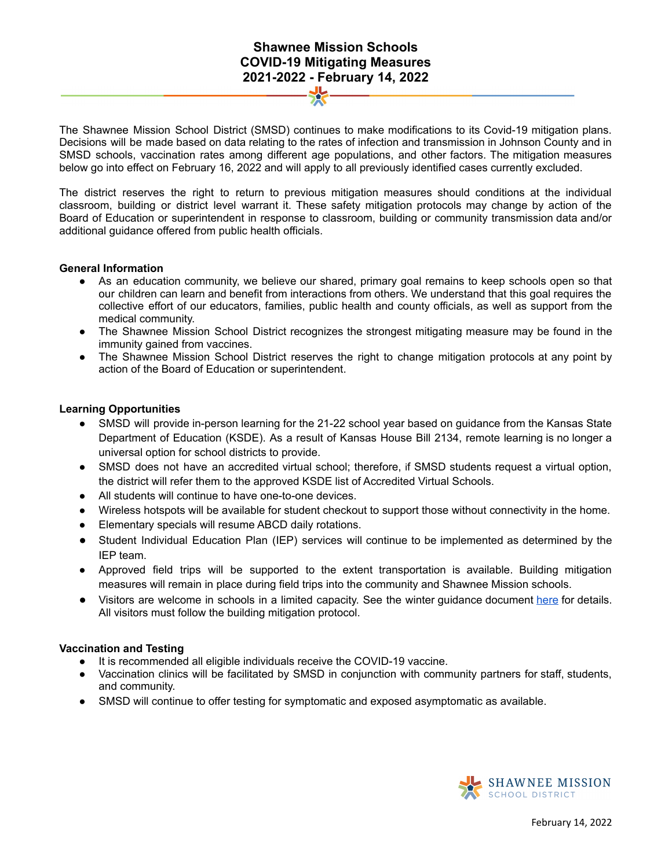# **Shawnee Mission Schools COVID-19 Mitigating Measures 2021-2022 - February 14, 2022**

The Shawnee Mission School District (SMSD) continues to make modifications to its Covid-19 mitigation plans. Decisions will be made based on data relating to the rates of infection and transmission in Johnson County and in SMSD schools, vaccination rates among different age populations, and other factors. The mitigation measures below go into effect on February 16, 2022 and will apply to all previously identified cases currently excluded.

The district reserves the right to return to previous mitigation measures should conditions at the individual classroom, building or district level warrant it. These safety mitigation protocols may change by action of the Board of Education or superintendent in response to classroom, building or community transmission data and/or additional guidance offered from public health officials.

#### **General Information**

- As an education community, we believe our shared, primary goal remains to keep schools open so that our children can learn and benefit from interactions from others. We understand that this goal requires the collective effort of our educators, families, public health and county officials, as well as support from the medical community.
- The Shawnee Mission School District recognizes the strongest mitigating measure may be found in the immunity gained from vaccines.
- The Shawnee Mission School District reserves the right to change mitigation protocols at any point by action of the Board of Education or superintendent.

## **Learning Opportunities**

- SMSD will provide in-person learning for the 21-22 school year based on guidance from the Kansas State Department of Education (KSDE). As a result of Kansas House Bill 2134, remote learning is no longer a universal option for school districts to provide.
- SMSD does not have an accredited virtual school; therefore, if SMSD students request a virtual option, the district will refer them to the approved KSDE list of Accredited Virtual Schools.
- **●** All students will continue to have one-to-one devices.
- Wireless hotspots will be available for student checkout to support those without connectivity in the home.
- Elementary specials will resume ABCD daily rotations.
- Student Individual Education Plan (IEP) services will continue to be implemented as determined by the IEP team.
- Approved field trips will be supported to the extent transportation is available. Building mitigation measures will remain in place during field trips into the community and Shawnee Mission schools.
- Visitors are welcome in schools in a limited capacity. See the winter guidance document [here](https://docs.google.com/document/d/1l87Mdt6K53wdBBS7R_HD9zlI5dVjWvGehYi_BO5Y1mo/edit?usp=sharing) for details. All visitors must follow the building mitigation protocol.

#### **Vaccination and Testing**

- It is recommended all eligible individuals receive the COVID-19 vaccine.
- Vaccination clinics will be facilitated by SMSD in conjunction with community partners for staff, students, and community.
- SMSD will continue to offer testing for symptomatic and exposed asymptomatic as available.

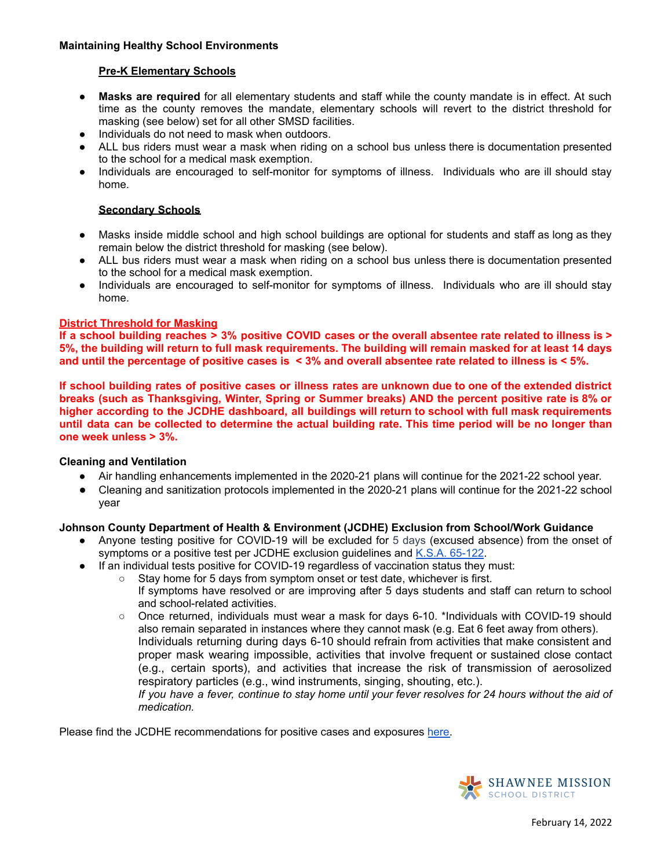## **Maintaining Healthy School Environments**

## **Pre-K Elementary Schools**

- **● Masks are required** for all elementary students and staff while the county mandate is in effect. At such time as the county removes the mandate, elementary schools will revert to the district threshold for masking (see below) set for all other SMSD facilities.
- Individuals do not need to mask when outdoors.
- **●** ALL bus riders must wear a mask when riding on a school bus unless there is documentation presented to the school for a medical mask exemption.
- Individuals are encouraged to self-monitor for symptoms of illness. Individuals who are ill should stay home.

## **Secondary Schools**

- Masks inside middle school and high school buildings are optional for students and staff as long as they remain below the district threshold for masking (see below).
- ALL bus riders must wear a mask when riding on a school bus unless there is documentation presented to the school for a medical mask exemption.
- Individuals are encouraged to self-monitor for symptoms of illness. Individuals who are ill should stay home.

## **District Threshold for Masking**

If a school building reaches > 3% positive COVID cases or the overall absentee rate related to illness is > 5%, the building will return to full mask requirements. The building will remain masked for at least 14 days and until the percentage of positive cases is  $\leq$  3% and overall absentee rate related to illness is  $\leq$  5%.

If school building rates of positive cases or illness rates are unknown due to one of the extended district **breaks (such as Thanksgiving, Winter, Spring or Summer breaks) AND the percent positive rate is 8% or higher according to the JCDHE dashboard, all buildings will return to school with full mask requirements** until data can be collected to determine the actual building rate. This time period will be no longer than **one week unless > 3%.**

#### **Cleaning and Ventilation**

- Air handling enhancements implemented in the 2020-21 plans will continue for the 2021-22 school year.
- Cleaning and sanitization protocols implemented in the 2020-21 plans will continue for the 2021-22 school year

#### **Johnson County Department of Health & Environment (JCDHE) Exclusion from School/Work Guidance**

- Anyone testing positive for COVID-19 will be excluded for 5 days (excused absence) from the onset of symptoms or a positive test per JCDHE exclusion guidelines and K.S.A. [65-122](https://www.ksrevisor.org/statutes/chapters/ch65/065_001_0022.html).
- If an individual tests positive for COVID-19 regardless of vaccination status they must:
	- Stay home for 5 days from symptom onset or test date, whichever is first.
		- If symptoms have resolved or are improving after 5 days students and staff can return to school and school-related activities.
	- Once returned, individuals must wear a mask for days 6-10. \*Individuals with COVID-19 should also remain separated in instances where they cannot mask (e.g. Eat 6 feet away from others). Individuals returning during days 6-10 should refrain from activities that make consistent and proper mask wearing impossible, activities that involve frequent or sustained close contact (e.g., certain sports), and activities that increase the risk of transmission of aerosolized respiratory particles (e.g., wind instruments, singing, shouting, etc.).

If you have a fever, continue to stay home until your fever resolves for 24 hours without the aid of *medication.*

Please find the JCDHE recommendations for positive cases and exposures [here.](https://resources.finalsite.net/images/v1643074844/smsdorg/bgkwy08uzp2n0npeuq5n/COVID19StaffStudentsGuidance1-21-22.pdf)